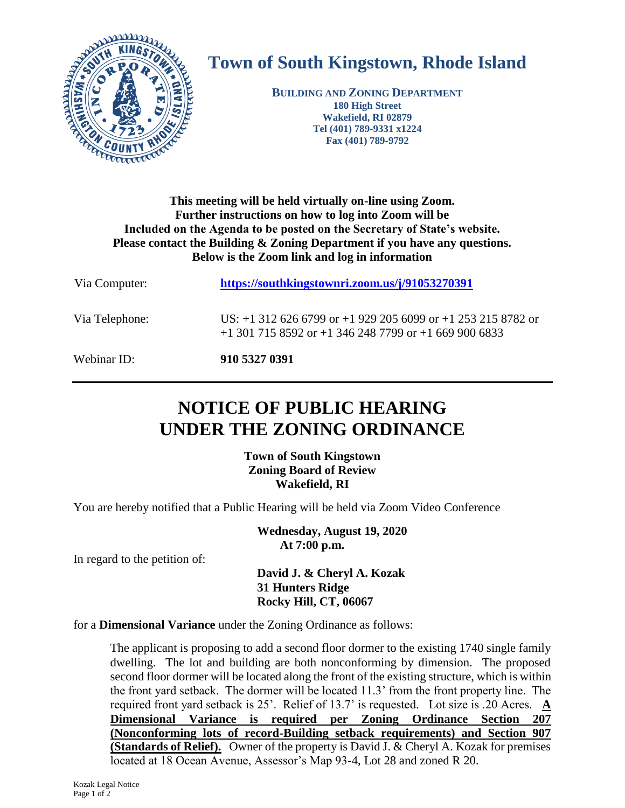

## **Town of South Kingstown, Rhode Island**

**BUILDING AND ZONING DEPARTMENT 180 High Street Wakefield, RI 02879 Tel (401) 789-9331 x1224 Fax (401) 789-9792**

## **This meeting will be held virtually on-line using Zoom. Further instructions on how to log into Zoom will be Included on the Agenda to be posted on the Secretary of State's website. Please contact the Building & Zoning Department if you have any questions. Below is the Zoom link and log in information**

| Via Computer:  | https://southkingstownri.zoom.us/j/91053270391                                                                                    |
|----------------|-----------------------------------------------------------------------------------------------------------------------------------|
| Via Telephone: | US: $+1$ 312 626 6799 or $+1$ 929 205 6099 or $+1$ 253 215 8782 or<br>$+1$ 301 715 8592 or $+1$ 346 248 7799 or $+1$ 669 900 6833 |
| Webinar ID:    | 910 5327 0391                                                                                                                     |

## **NOTICE OF PUBLIC HEARING UNDER THE ZONING ORDINANCE**

**Town of South Kingstown Zoning Board of Review Wakefield, RI**

You are hereby notified that a Public Hearing will be held via Zoom Video Conference

**Wednesday, August 19, 2020 At 7:00 p.m.**

In regard to the petition of:

**David J. & Cheryl A. Kozak 31 Hunters Ridge Rocky Hill, CT, 06067**

for a **Dimensional Variance** under the Zoning Ordinance as follows:

The applicant is proposing to add a second floor dormer to the existing 1740 single family dwelling. The lot and building are both nonconforming by dimension. The proposed second floor dormer will be located along the front of the existing structure, which is within the front yard setback. The dormer will be located 11.3' from the front property line. The required front yard setback is 25'. Relief of 13.7' is requested. Lot size is .20 Acres. **A Dimensional Variance is required per Zoning Ordinance Section 207 (Nonconforming lots of record-Building setback requirements) and Section 907 (Standards of Relief).** Owner of the property is David J. & Cheryl A. Kozak for premises located at 18 Ocean Avenue, Assessor's Map 93-4, Lot 28 and zoned R 20.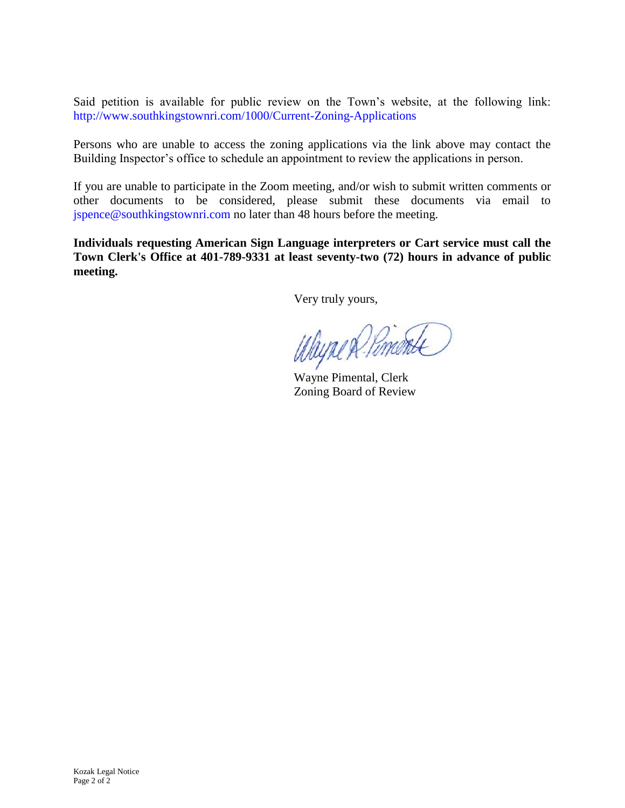Said petition is available for public review on the Town's website, at the following link: <http://www.southkingstownri.com/1000/Current-Zoning-Applications>

Persons who are unable to access the zoning applications via the link above may contact the Building Inspector's office to schedule an appointment to review the applications in person.

If you are unable to participate in the Zoom meeting, and/or wish to submit written comments or other documents to be considered, please submit these documents via email to [jspence@southkingstownri.com](mailto:jspence@southkingstownri.com) no later than 48 hours before the meeting.

**Individuals requesting American Sign Language interpreters or Cart service must call the Town Clerk's Office at 401-789-9331 at least seventy-two (72) hours in advance of public meeting.**

Very truly yours,

Wayne R. Pomente

Zoning Board of Review